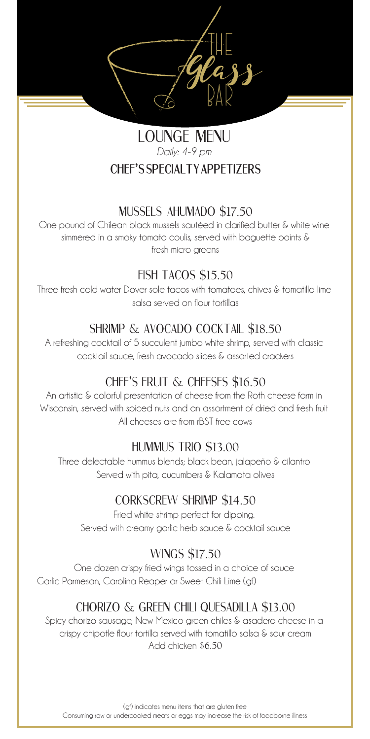The Glass Bar

## Lounge Menu *Daily: 4-9 pm* **Chef's Specialty AppetizerS**

### Mussels Ahumado \$17.50

One pound of Chilean black mussels sautéed in clarified butter & white wine simmered in a smoky tomato coulis, served with baguette points & fresh micro greens

## Fish Tacos \$15.50

Three fresh cold water Dover sole tacos with tomatoes, chives & tomatillo lime salsa served on flour tortillas

## Shrimp & Avocado cocktail \$18.50

A refreshing cocktail of 5 succulent jumbo white shrimp, served with classic cocktail sauce, fresh avocado slices & assorted crackers

# Chef's Fruit & Cheeses \$16.50

An artistic & colorful presentation of cheese from the Roth cheese farm in Wisconsin, served with spiced nuts and an assortment of dried and fresh fruit All cheeses are from rBST free cows

## Hummus Trio \$13.00

Three delectable hummus blends; black bean, jalapeño & cilantro Served with pita, cucumbers & Kalamata olives

## corkscrew shrimp \$14.50

Fried white shrimp perfect for dipping. Served with creamy garlic herb sauce & cocktail sauce

## wings \$17.50

One dozen crispy fried wings tossed in a choice of sauce Garlic Parmesan, Carolina Reaper or Sweet Chili Lime (gf)

# chorizo & green chili quesadilla \$13.00

Spicy chorizo sausage, New Mexico green chiles & asadero cheese in a crispy chipotle flour tortilla served with tomatillo salsa & sour cream Add chicken \$6.50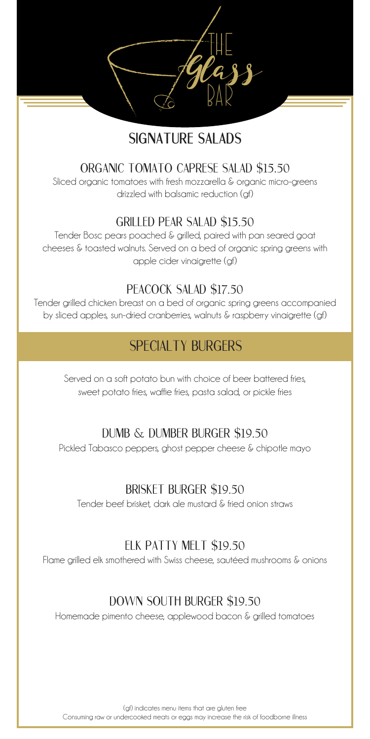# **signature salads**

The Glass

Bar

### organic tomato caprese salad \$15.50

Sliced organic tomatoes with fresh mozzarella & organic micro-greens drizzled with balsamic reduction (gf)

### grilled pear salad \$15.50

Tender Bosc pears poached & grilled, paired with pan seared goat cheeses & toasted walnuts. Served on a bed of organic spring greens with apple cider vinaigrette (gf)

### peacock salad \$17.50

Tender grilled chicken breast on a bed of organic spring greens accompanied by sliced apples, sun-dried cranberries, walnuts & raspberry vinaigrette (gf)

# SPECIALTY BURGERS

Served on a soft potato bun with choice of beer battered fries, sweet potato fries, waffle fries, pasta salad, or pickle fries

### Dumb & Dumber burger \$19.50

Pickled Tabasco peppers, ghost pepper cheese & chipotle mayo

### brisket burger \$19.50

Tender beef brisket, dark ale mustard & fried onion straws

### elk patty melt \$19.50

Flame grilled elk smothered with Swiss cheese, sautéed mushrooms & onions

### Down south burger \$19.50

Homemade pimento cheese, applewood bacon & grilled tomatoes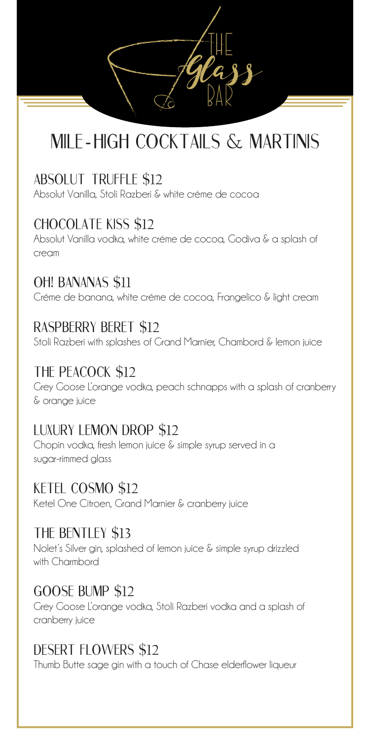The Glass Bar

# mile - high cocktails & martinis

# Absolut truffle \$12

Absolut Vanilla, Stoli Razberi & white créme de cocoa

# Chocolate Kiss \$12

Absolut Vanilla vodka, white créme de cocoa, Godiva & a splash of cream

# Oh! Bananas \$11

Créme de banana, white créme de cocoa, Frangelico & light cream

## Raspberry beret \$12

Stoli Razberi with splashes of Grand Marnier, Chambord & lemon juice

# The Peacock \$12

Grey Goose L'orange vodka, peach schnapps with a splash of cranberry & orange juice

# Luxury lemon drop \$12

Chopin vodka, fresh lemon juice & simple syrup served in a sugar-rimmed glass

## Ketel cosmo \$12

Ketel One Citroen, Grand Marnier & cranberry juice

## The bentley \$13

Nolet's Silver gin, splashed of lemon juice & simple syrup drizzled with Charmbord

## Goose bump \$12

Grey Goose L'orange vodka, Stoli Razberi vodka and a splash of cranberry juice

# desert flowers \$12

Thumb Butte sage gin with a touch of Chase elderflower liqueur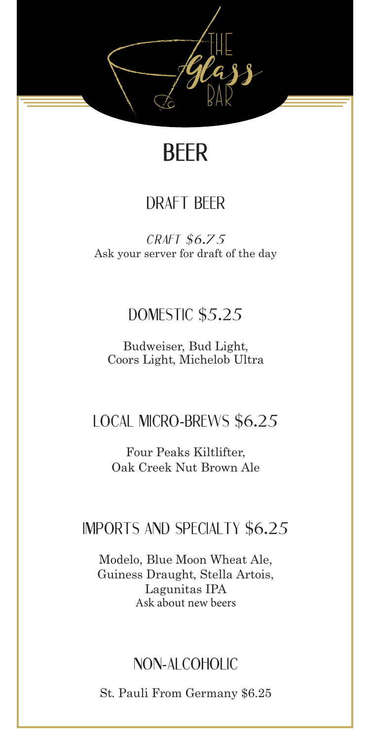

# **beer**

# draft beer

 *craft \$6.75* Ask your server for draft of the day

# DOMESTIC \$5.25

Budweiser, Bud Light, Coors Light, Michelob Ultra

# Local Micro-Brews \$6.25

Four Peaks Kiltlifter, Oak Creek Nut Brown Ale

# Imports and Specialty \$6.25

Modelo, Blue Moon Wheat Ale, Guiness Draught, Stella Artois, Lagunitas IPA Ask about new beers

# Non-Alcoholic

St. Pauli From Germany \$6.25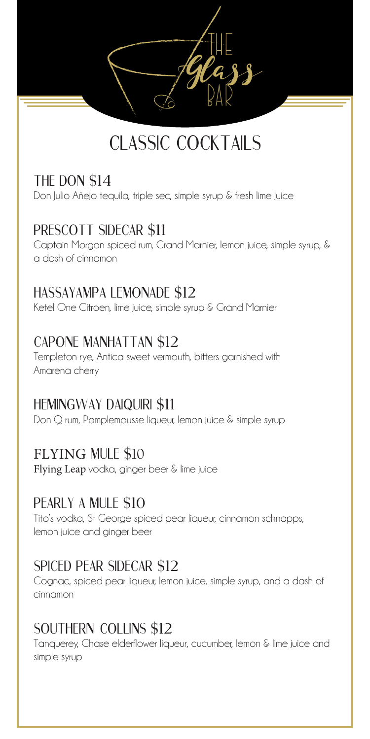# CLASSIC COCKTAILS

The Glass

Bar

## THE DON \$14

Don Julio Añejo tequila, triple sec, simple syrup & fresh lime juice

# PRESCOTT SIDECAR \$11

Captain Morgan spiced rum, Grand Marnier, lemon juice, simple syrup, & a dash of cinnamon

## hassayampa lemonade \$12

Ketel One Citroen, lime juice, simple syrup & Grand Marnier

## capone manhattan \$12

Templeton rye, Antica sweet vermouth, bitters garnished with Amarena cherry

## Hemingway daiquiri \$11

Don Q rum, Pamplemousse liqueur, lemon juice & simple syrup

### FLYING mule \$10

Flying Leap vodka, ginger beer & lime juice

## pearly a mule \$10

Tito's vodka, St George spiced pear liqueur, cinnamon schnapps, lemon juice and ginger beer

## Spiced pear sidecar \$12

Cognac, spiced pear liqueur, lemon juice, simple syrup, and a dash of cinnamon

## Southern Collins \$12

Tanquerey, Chase elderflower liqueur, cucumber, lemon & lime juice and simple syrup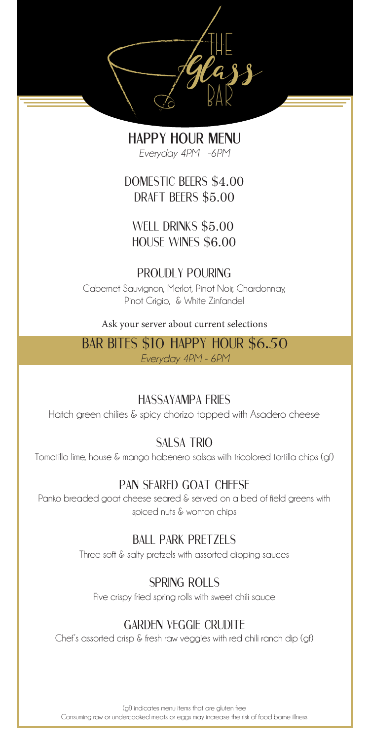The Glass Bar

> **Happy Hour menu** *Everyday 4PM -6PM*

Domestic beers \$4.00 draft beers \$5.00

well drinks \$5.00 house wines \$6.00

### proudly pouring

Cabernet Sauvignon, Merlot, Pinot Noir, Chardonnay, Pinot Grigio, & White Zinfandel

Ask your server about current selections

bar bites \$10 Happy Hour \$6.50 *Everyday 4PM - 6PM*

### hassayampa fries

Hatch green chilies & spicy chorizo topped with Asadero cheese

### SAI SA TRIO

Tomatillo lime, house & mango habenero salsas with tricolored tortilla chips (gf)

### pan seared goat cheese

Panko breaded goat cheese seared & served on a bed of field greens with spiced nuts & wonton chips

### ball park pretzels

Three soft & salty pretzels with assorted dipping sauces

### spring rolls

Five crispy fried spring rolls with sweet chili sauce

### Garden veggie crudite

Chef's assorted crisp & fresh raw veggies with red chili ranch dip (gf)

(gf) indicates menu items that are gluten free Consuming raw or undercooked meats or eggs may increase the risk of food borne illness